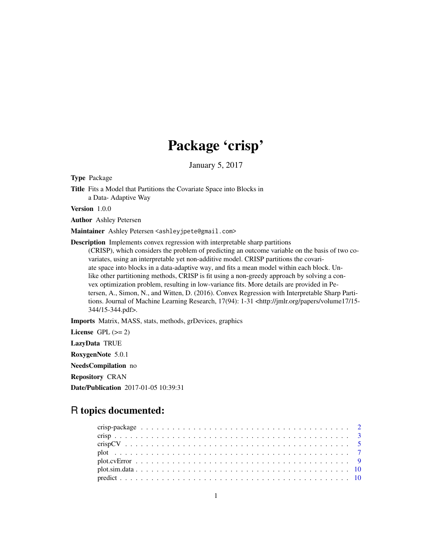## Package 'crisp'

January 5, 2017

Type Package

Title Fits a Model that Partitions the Covariate Space into Blocks in a Data- Adaptive Way

Version 1.0.0

Author Ashley Petersen

Maintainer Ashley Petersen <ashleyjpete@gmail.com>

Description Implements convex regression with interpretable sharp partitions (CRISP), which considers the problem of predicting an outcome variable on the basis of two covariates, using an interpretable yet non-additive model. CRISP partitions the covariate space into blocks in a data-adaptive way, and fits a mean model within each block. Unlike other partitioning methods, CRISP is fit using a non-greedy approach by solving a convex optimization problem, resulting in low-variance fits. More details are provided in Petersen, A., Simon, N., and Witten, D. (2016). Convex Regression with Interpretable Sharp Partitions. Journal of Machine Learning Research, 17(94): 1-31 <http://jmlr.org/papers/volume17/15-344/15-344.pdf>.

Imports Matrix, MASS, stats, methods, grDevices, graphics

License GPL  $(>= 2)$ LazyData TRUE RoxygenNote 5.0.1 NeedsCompilation no Repository CRAN Date/Publication 2017-01-05 10:39:31

## R topics documented: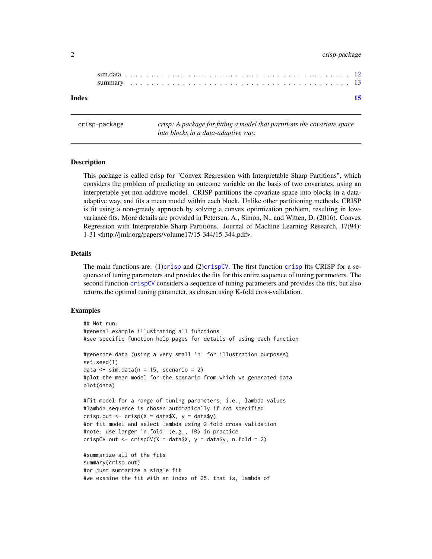## <span id="page-1-0"></span>2 crisp-package crisp-package crisp-package crisp-package crisp-package crisp-package

#### **Index** [15](#page-14-0)

crisp-package *crisp: A package for fitting a model that partitions the covariate space into blocks in a data-adaptive way.*

## **Description**

This package is called crisp for "Convex Regression with Interpretable Sharp Partitions", which considers the problem of predicting an outcome variable on the basis of two covariates, using an interpretable yet non-additive model. CRISP partitions the covariate space into blocks in a dataadaptive way, and fits a mean model within each block. Unlike other partitioning methods, CRISP is fit using a non-greedy approach by solving a convex optimization problem, resulting in lowvariance fits. More details are provided in Petersen, A., Simon, N., and Witten, D. (2016). Convex Regression with Interpretable Sharp Partitions. Journal of Machine Learning Research, 17(94): 1-31 <http://jmlr.org/papers/volume17/15-344/15-344.pdf>.

#### Details

The main functions are: (1)[crisp](#page-2-1) and (2)[crispCV](#page-4-1). The first function crisp fits CRISP for a sequence of tuning parameters and provides the fits for this entire sequence of tuning parameters. The second function [crispCV](#page-4-1) considers a sequence of tuning parameters and provides the fits, but also returns the optimal tuning parameter, as chosen using K-fold cross-validation.

#### Examples

```
## Not run:
#general example illustrating all functions
#see specific function help pages for details of using each function
#generate data (using a very small 'n' for illustration purposes)
set.seed(1)
data \le sim.data(n = 15, scenario = 2)
#plot the mean model for the scenario from which we generated data
plot(data)
#fit model for a range of tuning parameters, i.e., lambda values
#lambda sequence is chosen automatically if not specified
crisp.out \leq crisp(X = data$X, y = data$y)
#or fit model and select lambda using 2-fold cross-validation
#note: use larger 'n.fold' (e.g., 10) in practice
crispCV.out < -crispCV(X = data $X, y = data $y, n.float = 2)#summarize all of the fits
summary(crisp.out)
#or just summarize a single fit
```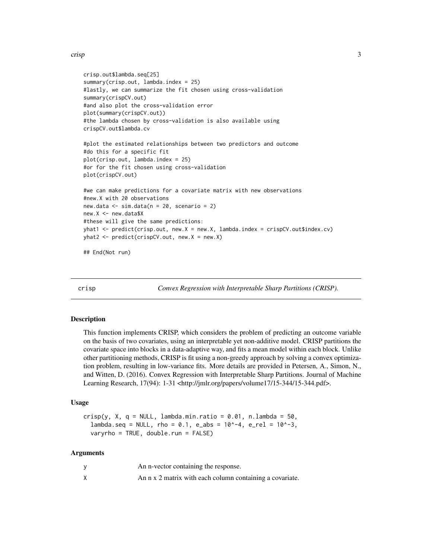```
crisp.out$lambda.seq[25]
summary(crisp.out, lambda.index = 25)
#lastly, we can summarize the fit chosen using cross-validation
summary(crispCV.out)
#and also plot the cross-validation error
plot(summary(crispCV.out))
#the lambda chosen by cross-validation is also available using
crispCV.out$lambda.cv
#plot the estimated relationships between two predictors and outcome
#do this for a specific fit
plot(crisp.out, lambda.index = 25)
#or for the fit chosen using cross-validation
plot(crispCV.out)
#we can make predictions for a covariate matrix with new observations
#new.X with 20 observations
new.data \le sim.data(n = 20, scenario = 2)
new.X <- new.data$X
#these will give the same predictions:
yhat1 <- predict(crisp.out, new.X = new.X, lambda.index = crispCV.out$index.cv)
yhat2 <- predict(crispCV.out, new.X = new.X)
## End(Not run)
```
<span id="page-2-1"></span>

crisp *Convex Regression with Interpretable Sharp Partitions (CRISP).*

### **Description**

This function implements CRISP, which considers the problem of predicting an outcome variable on the basis of two covariates, using an interpretable yet non-additive model. CRISP partitions the covariate space into blocks in a data-adaptive way, and fits a mean model within each block. Unlike other partitioning methods, CRISP is fit using a non-greedy approach by solving a convex optimization problem, resulting in low-variance fits. More details are provided in Petersen, A., Simon, N., and Witten, D. (2016). Convex Regression with Interpretable Sharp Partitions. Journal of Machine Learning Research, 17(94): 1-31 <http://jmlr.org/papers/volume17/15-344/15-344.pdf>.

#### Usage

```
crisp(y, X, q = NULL, lambda.min.ratio = 0.01, n.lambda = 50,lambda.seq = NULL, rho = 0.1, e_abs = 10^{\circ}-4, e_{rel} = 10^{\circ}-3,varyrho = TRUE, double.run = FALSE)
```
#### Arguments

| An n-vector containing the response.                     |
|----------------------------------------------------------|
| An n x 2 matrix with each column containing a covariate. |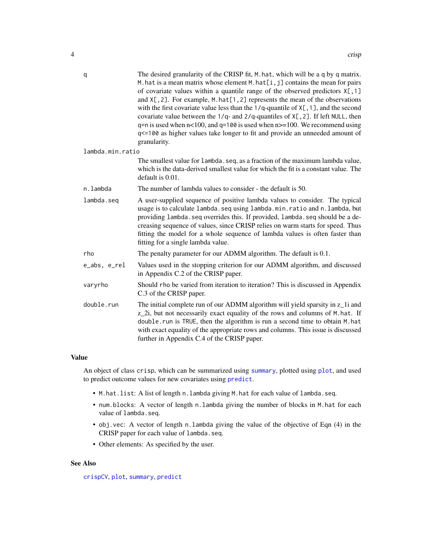<span id="page-3-0"></span>

| The desired granularity of the CRISP fit, M. hat, which will be a q by q matrix.<br>M. hat is a mean matrix whose element $M$ . hat $[i, j]$ contains the mean for pairs<br>of covariate values within a quantile range of the observed predictors $X[, 1]$<br>and $X[, 2]$ . For example, M. hat $[1, 2]$ represents the mean of the observations<br>with the first covariate value less than the $1/q$ -quantile of $X[, 1],$ and the second<br>covariate value between the $1/q$ - and $2/q$ -quantiles of $X[, 2]$ . If left NULL, then<br>$q=n$ is used when $n<100$ , and $q=100$ is used when $n>=100$ . We recommend using<br>q<=100 as higher values take longer to fit and provide an unneeded amount of<br>granularity. |
|------------------------------------------------------------------------------------------------------------------------------------------------------------------------------------------------------------------------------------------------------------------------------------------------------------------------------------------------------------------------------------------------------------------------------------------------------------------------------------------------------------------------------------------------------------------------------------------------------------------------------------------------------------------------------------------------------------------------------------|
| lambda.min.ratio                                                                                                                                                                                                                                                                                                                                                                                                                                                                                                                                                                                                                                                                                                                   |
| The smallest value for lambda. seq, as a fraction of the maximum lambda value,<br>which is the data-derived smallest value for which the fit is a constant value. The<br>default is 0.01.                                                                                                                                                                                                                                                                                                                                                                                                                                                                                                                                          |
| The number of lambda values to consider - the default is 50.                                                                                                                                                                                                                                                                                                                                                                                                                                                                                                                                                                                                                                                                       |
| A user-supplied sequence of positive lambda values to consider. The typical<br>usage is to calculate lambda.seq using lambda.min.ratio and n.lambda, but<br>providing lambda. seq overrides this. If provided, lambda. seq should be a de-<br>creasing sequence of values, since CRISP relies on warm starts for speed. Thus<br>fitting the model for a whole sequence of lambda values is often faster than<br>fitting for a single lambda value.                                                                                                                                                                                                                                                                                 |
| The penalty parameter for our ADMM algorithm. The default is 0.1.                                                                                                                                                                                                                                                                                                                                                                                                                                                                                                                                                                                                                                                                  |
| Values used in the stopping criterion for our ADMM algorithm, and discussed<br>in Appendix C.2 of the CRISP paper.                                                                                                                                                                                                                                                                                                                                                                                                                                                                                                                                                                                                                 |
| Should rho be varied from iteration to iteration? This is discussed in Appendix<br>C.3 of the CRISP paper.                                                                                                                                                                                                                                                                                                                                                                                                                                                                                                                                                                                                                         |
| The initial complete run of our ADMM algorithm will yield sparsity in z_1i and<br>z_2i, but not necessarily exact equality of the rows and columns of M.hat. If<br>double.run is TRUE, then the algorithm is run a second time to obtain M.hat<br>with exact equality of the appropriate rows and columns. This issue is discussed<br>further in Appendix C.4 of the CRISP paper.                                                                                                                                                                                                                                                                                                                                                  |
|                                                                                                                                                                                                                                                                                                                                                                                                                                                                                                                                                                                                                                                                                                                                    |

## Value

An object of class crisp, which can be summarized using [summary](#page-12-1), plotted using [plot](#page-6-1), and used to predict outcome values for new covariates using [predict](#page-9-1).

- M.hat.list: A list of length n.lambda giving M.hat for each value of lambda.seq.
- num.blocks: A vector of length n.lambda giving the number of blocks in M.hat for each value of lambda.seq.
- obj.vec: A vector of length n.lambda giving the value of the objective of Eqn (4) in the CRISP paper for each value of lambda.seq.
- Other elements: As specified by the user.

## See Also

[crispCV](#page-4-1), [plot](#page-6-1), [summary](#page-12-1), [predict](#page-9-1)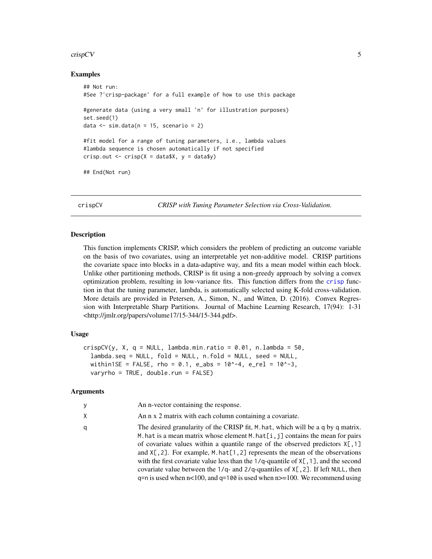#### <span id="page-4-0"></span> $\frac{1}{5}$   $\frac{1}{5}$   $\frac{1}{5}$   $\frac{1}{5}$   $\frac{1}{5}$   $\frac{1}{5}$   $\frac{1}{5}$   $\frac{1}{5}$   $\frac{1}{5}$   $\frac{1}{5}$   $\frac{1}{5}$   $\frac{1}{5}$   $\frac{1}{5}$   $\frac{1}{5}$   $\frac{1}{5}$   $\frac{1}{5}$   $\frac{1}{5}$   $\frac{1}{5}$   $\frac{1}{5}$   $\frac{1}{5}$   $\frac{1}{5}$   $\frac{1}{5}$

#### Examples

```
## Not run:
#See ?'crisp-package' for a full example of how to use this package
#generate data (using a very small 'n' for illustration purposes)
set.seed(1)
data \le sim.data(n = 15, scenario = 2)
#fit model for a range of tuning parameters, i.e., lambda values
#lambda sequence is chosen automatically if not specified
crisp.out \leq crisp(X = data$X, y = data$y)
## End(Not run)
```
<span id="page-4-1"></span>crispCV *CRISP with Tuning Parameter Selection via Cross-Validation.*

#### Description

This function implements CRISP, which considers the problem of predicting an outcome variable on the basis of two covariates, using an interpretable yet non-additive model. CRISP partitions the covariate space into blocks in a data-adaptive way, and fits a mean model within each block. Unlike other partitioning methods, CRISP is fit using a non-greedy approach by solving a convex optimization problem, resulting in low-variance fits. This function differs from the [crisp](#page-2-1) function in that the tuning parameter, lambda, is automatically selected using K-fold cross-validation. More details are provided in Petersen, A., Simon, N., and Witten, D. (2016). Convex Regression with Interpretable Sharp Partitions. Journal of Machine Learning Research, 17(94): 1-31 <http://jmlr.org/papers/volume17/15-344/15-344.pdf>.

## Usage

```
crispCV(y, X, q = NULL, lambda.min.ratio = 0.01, n.lambda = 50,lambda.seq = NULL, fold = NULL, n.fold = NULL, seed = NULL,
  within1SE = FALSE, rho = 0.1, e_abs = 10^{\circ}-4, e_rel = 10^{\circ}-3,
  varyrho = TRUE, double.run = FALSE)
```
## Arguments

| y | An n-vector containing the response.                                                                                                                                                                                                                                                                                                                                                                                                                                                                                                                                                                                                     |
|---|------------------------------------------------------------------------------------------------------------------------------------------------------------------------------------------------------------------------------------------------------------------------------------------------------------------------------------------------------------------------------------------------------------------------------------------------------------------------------------------------------------------------------------------------------------------------------------------------------------------------------------------|
| χ | An n x 2 matrix with each column containing a covariate.                                                                                                                                                                                                                                                                                                                                                                                                                                                                                                                                                                                 |
| q | The desired granularity of the CRISP fit, M. hat, which will be a q by q matrix.<br>M. hat is a mean matrix whose element M. hat $[i, j]$ contains the mean for pairs<br>of covariate values within a quantile range of the observed predictors $X[\,$ , 1]<br>and $X[, 2]$ . For example, M. hat $[1, 2]$ represents the mean of the observations<br>with the first covariate value less than the $1/q$ -quantile of $X[\, ,1]$ , and the second<br>covariate value between the $1/q$ - and $2/q$ -quantiles of $X[\, , 2]$ . If left NULL, then<br>$q=n$ is used when $n<100$ , and $q=100$ is used when $n>=100$ . We recommend using |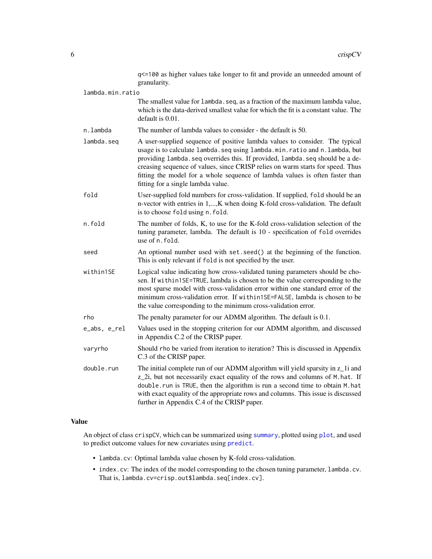<span id="page-5-0"></span>

|                  | q<=100 as higher values take longer to fit and provide an unneeded amount of<br>granularity.                                                                                                                                                                                                                                                                                                                                                       |
|------------------|----------------------------------------------------------------------------------------------------------------------------------------------------------------------------------------------------------------------------------------------------------------------------------------------------------------------------------------------------------------------------------------------------------------------------------------------------|
| lambda.min.ratio |                                                                                                                                                                                                                                                                                                                                                                                                                                                    |
|                  | The smallest value for lambda. seq, as a fraction of the maximum lambda value,<br>which is the data-derived smallest value for which the fit is a constant value. The<br>default is 0.01.                                                                                                                                                                                                                                                          |
| n.lambda         | The number of lambda values to consider - the default is 50.                                                                                                                                                                                                                                                                                                                                                                                       |
| lambda.seq       | A user-supplied sequence of positive lambda values to consider. The typical<br>usage is to calculate lambda.seq using lambda.min.ratio and n.lambda, but<br>providing lambda. seq overrides this. If provided, lambda. seq should be a de-<br>creasing sequence of values, since CRISP relies on warm starts for speed. Thus<br>fitting the model for a whole sequence of lambda values is often faster than<br>fitting for a single lambda value. |
| fold             | User-supplied fold numbers for cross-validation. If supplied, fold should be an<br>n-vector with entries in 1,, K when doing K-fold cross-validation. The default<br>is to choose fold using n. fold.                                                                                                                                                                                                                                              |
| n.fold           | The number of folds, K, to use for the K-fold cross-validation selection of the<br>tuning parameter, lambda. The default is 10 - specification of fold overrides<br>use of n. fold.                                                                                                                                                                                                                                                                |
| seed             | An optional number used with set. seed() at the beginning of the function.<br>This is only relevant if fold is not specified by the user.                                                                                                                                                                                                                                                                                                          |
| within1SE        | Logical value indicating how cross-validated tuning parameters should be cho-<br>sen. If within1SE=TRUE, lambda is chosen to be the value corresponding to the<br>most sparse model with cross-validation error within one standard error of the<br>minimum cross-validation error. If within1SE=FALSE, lambda is chosen to be<br>the value corresponding to the minimum cross-validation error.                                                   |
| rho              | The penalty parameter for our ADMM algorithm. The default is 0.1.                                                                                                                                                                                                                                                                                                                                                                                  |
| e_abs, e_rel     | Values used in the stopping criterion for our ADMM algorithm, and discussed<br>in Appendix C.2 of the CRISP paper.                                                                                                                                                                                                                                                                                                                                 |
| varyrho          | Should rho be varied from iteration to iteration? This is discussed in Appendix<br>C.3 of the CRISP paper.                                                                                                                                                                                                                                                                                                                                         |
| double.run       | The initial complete run of our ADMM algorithm will yield sparsity in z_1i and<br>z_2i, but not necessarily exact equality of the rows and columns of M.hat. If<br>double.run is TRUE, then the algorithm is run a second time to obtain M.hat<br>with exact equality of the appropriate rows and columns. This issue is discussed<br>further in Appendix C.4 of the CRISP paper.                                                                  |

## Value

An object of class crispCV, which can be summarized using [summary](#page-12-1), plotted using [plot](#page-6-1), and used to predict outcome values for new covariates using [predict](#page-9-1).

- lambda.cv: Optimal lambda value chosen by K-fold cross-validation.
- index.cv: The index of the model corresponding to the chosen tuning parameter, lambda.cv. That is, lambda.cv=crisp.out\$lambda.seq[index.cv].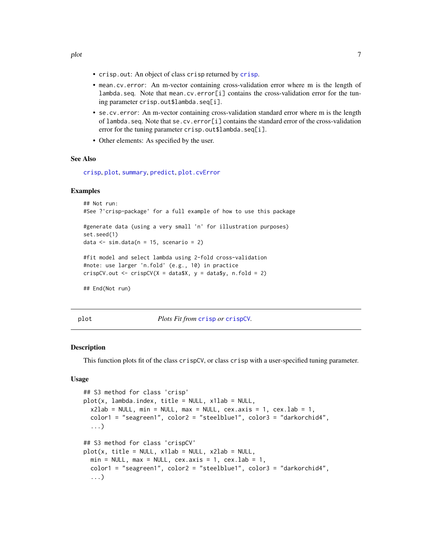- <span id="page-6-0"></span>• crisp.out: An object of class crisp returned by [crisp](#page-2-1).
- mean.cv.error: An m-vector containing cross-validation error where m is the length of lambda.seq. Note that mean.cv.error[i] contains the cross-validation error for the tuning parameter crisp.out\$lambda.seq[i].
- se.cv.error: An m-vector containing cross-validation standard error where m is the length of lambda.seq. Note that se.cv.error[i] contains the standard error of the cross-validation error for the tuning parameter crisp.out\$lambda.seq[i].
- Other elements: As specified by the user.

## See Also

[crisp](#page-2-1), [plot](#page-6-1), [summary](#page-12-1), [predict](#page-9-1), [plot.cvError](#page-8-1)

## Examples

```
## Not run:
#See ?'crisp-package' for a full example of how to use this package
#generate data (using a very small 'n' for illustration purposes)
set.seed(1)
data \le sim.data(n = 15, scenario = 2)
#fit model and select lambda using 2-fold cross-validation
#note: use larger 'n.fold' (e.g., 10) in practice
crispCV.out \le crispCV(X = data$X, y = data$y, n.fold = 2)
## End(Not run)
```
<span id="page-6-1"></span>plot *Plots Fit from* [crisp](#page-2-1) *or* [crispCV](#page-4-1)*.*

#### Description

This function plots fit of the class crispCV, or class crisp with a user-specified tuning parameter.

#### Usage

```
## S3 method for class 'crisp'
plot(x, lambda.index, title = NULL, x1lab = NULL,x2lab = NULL, min = NULL, max = NULL, cex.axis = 1, cex.lab = 1,
  color1 = "seagreen1", color2 = "steelblue1", color3 = "darkorchid4",
  ...)
## S3 method for class 'crispCV'
plot(x, title = NULL, x1lab = NULL, x2lab = NULL,min = NULL, max = NULL, cex</math>.<math>axis = 1</math>, <math>cex</math>.<math>lab = 1</math>,color1 = "seagreen1", color2 = "steelblue1", color3 = "darkorchid4",
  ...)
```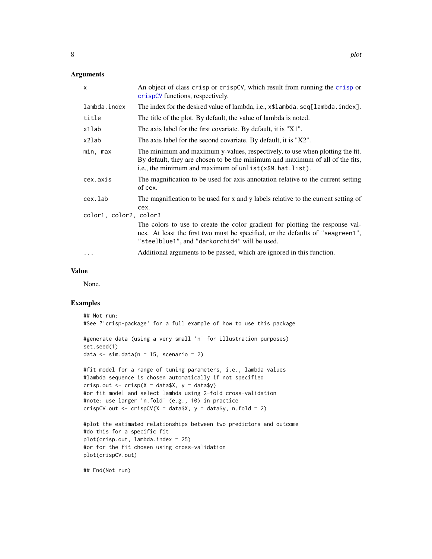## <span id="page-7-0"></span>Arguments

| $\times$                          | An object of class crisp or crispCV, which result from running the crisp or<br>crispCV functions, respectively.                                                                                                           |
|-----------------------------------|---------------------------------------------------------------------------------------------------------------------------------------------------------------------------------------------------------------------------|
| lambda.index                      | The index for the desired value of lambda, i.e., x\$1ambda.seq[lambda.index].                                                                                                                                             |
| title                             | The title of the plot. By default, the value of lambda is noted.                                                                                                                                                          |
| x1lab                             | The axis label for the first covariate. By default, it is "X1".                                                                                                                                                           |
| x2lab                             | The axis label for the second covariate. By default, it is "X2".                                                                                                                                                          |
| min, max                          | The minimum and maximum y-values, respectively, to use when plotting the fit.<br>By default, they are chosen to be the minimum and maximum of all of the fits,<br>i.e., the minimum and maximum of unlist(x\$M.hat.list). |
| cex.axis                          | The magnification to be used for axis annotation relative to the current setting<br>of cex.                                                                                                                               |
| cex.lab<br>color1, color2, color3 | The magnification to be used for x and y labels relative to the current setting of<br>cex.                                                                                                                                |
|                                   | The colors to use to create the color gradient for plotting the response val-<br>ues. At least the first two must be specified, or the defaults of "seagreen1",<br>"steelblue1", and "darkorchid4" will be used.          |
| .                                 | Additional arguments to be passed, which are ignored in this function.                                                                                                                                                    |

## Value

None.

## Examples

```
## Not run:
#See ?'crisp-package' for a full example of how to use this package
#generate data (using a very small 'n' for illustration purposes)
set.seed(1)
data \le sim.data(n = 15, scenario = 2)
#fit model for a range of tuning parameters, i.e., lambda values
#lambda sequence is chosen automatically if not specified
crisp.out \leq crisp(X = data$X, y = data$y)
#or fit model and select lambda using 2-fold cross-validation
#note: use larger 'n.fold' (e.g., 10) in practice
crispCV.out \le crispCV(X = data$X, y = data$y, n.fold = 2)
#plot the estimated relationships between two predictors and outcome
#do this for a specific fit
plot(crisp.out, lambda.index = 25)
#or for the fit chosen using cross-validation
plot(crispCV.out)
```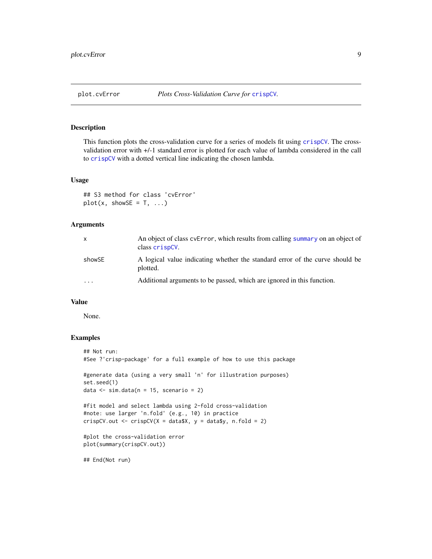<span id="page-8-1"></span><span id="page-8-0"></span>This function plots the cross-validation curve for a series of models fit using [crispCV](#page-4-1). The crossvalidation error with +/-1 standard error is plotted for each value of lambda considered in the call to [crispCV](#page-4-1) with a dotted vertical line indicating the chosen lambda.

#### Usage

```
## S3 method for class 'cvError'
plot(x, showSE = T, ...)
```
## Arguments

| X        | An object of class cvError, which results from calling summary on an object of<br>class crispCV. |
|----------|--------------------------------------------------------------------------------------------------|
| showSE   | A logical value indicating whether the standard error of the curve should be<br>plotted.         |
| $\cdots$ | Additional arguments to be passed, which are ignored in this function.                           |

## Value

None.

## Examples

```
## Not run:
#See ?'crisp-package' for a full example of how to use this package
#generate data (using a very small 'n' for illustration purposes)
set.seed(1)
data \le sim.data(n = 15, scenario = 2)
#fit model and select lambda using 2-fold cross-validation
#note: use larger 'n.fold' (e.g., 10) in practice
crispCV.out <- crispCV(X = data $X, y = data $y, n-fold = 2)
#plot the cross-validation error
plot(summary(crispCV.out))
```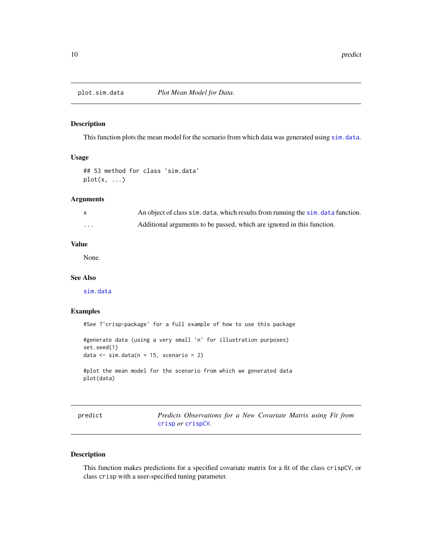<span id="page-9-0"></span>

This function plots the mean model for the scenario from which data was generated using [sim.data](#page-11-1).

## Usage

```
## S3 method for class 'sim.data'
plot(x, \ldots)
```
## Arguments

|   | An object of class sim. data, which results from running the sim. data function. |
|---|----------------------------------------------------------------------------------|
| . | Additional arguments to be passed, which are ignored in this function.           |

## Value

None.

## See Also

[sim.data](#page-11-1)

## Examples

#See ?'crisp-package' for a full example of how to use this package

#generate data (using a very small 'n' for illustration purposes) set.seed(1) data  $\le$  sim.data( $n = 15$ , scenario = 2)

#plot the mean model for the scenario from which we generated data plot(data)

<span id="page-9-1"></span>

| nred1 | c |
|-------|---|
|       |   |
|       |   |

Predicts Observations for a New Covariate Matrix using Fit from [crisp](#page-2-1) *or* [crispCV](#page-4-1)*.*

## Description

This function makes predictions for a specified covariate matrix for a fit of the class crispCV, or class crisp with a user-specified tuning parameter.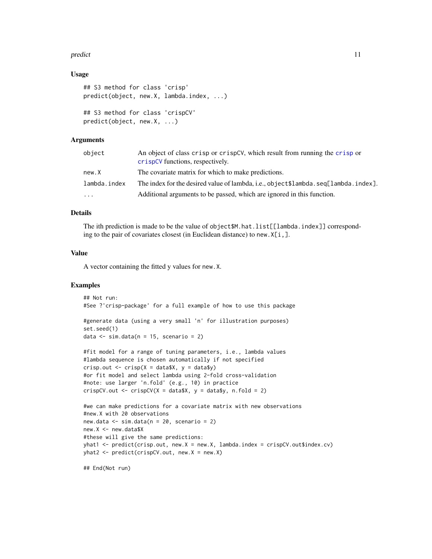#### predict the contract of the contract of the contract of the contract of the contract of the contract of the contract of the contract of the contract of the contract of the contract of the contract of the contract of the co

## Usage

```
## S3 method for class 'crisp'
predict(object, new.X, lambda.index, ...)
## S3 method for class 'crispCV'
predict(object, new.X, ...)
```
## Arguments

| An object of class crisp or crispCV, which result from running the crisp or<br>crispCV functions, respectively. |
|-----------------------------------------------------------------------------------------------------------------|
| The covariate matrix for which to make predictions.                                                             |
| The index for the desired value of lambda, i.e., object\$lambda.seq[lambda.index].                              |
| Additional arguments to be passed, which are ignored in this function.                                          |
|                                                                                                                 |

## Details

The ith prediction is made to be the value of object\$M.hat.list[[lambda.index]] corresponding to the pair of covariates closest (in Euclidean distance) to new.X[i,].

#### Value

A vector containing the fitted y values for new.X.

#### Examples

```
## Not run:
#See ?'crisp-package' for a full example of how to use this package
#generate data (using a very small 'n' for illustration purposes)
set.seed(1)
data \le sim.data(n = 15, scenario = 2)
#fit model for a range of tuning parameters, i.e., lambda values
#lambda sequence is chosen automatically if not specified
```

```
crisp.out \leq crisp(X = data$X, y = data$y)
#or fit model and select lambda using 2-fold cross-validation
#note: use larger 'n.fold' (e.g., 10) in practice
crispCV.out \le crispCV(X = data$X, y = data$y, n.fold = 2)
```

```
#we can make predictions for a covariate matrix with new observations
#new.X with 20 observations
new.data \le sim.data(n = 20, scenario = 2)
new.X <- new.data$X
#these will give the same predictions:
yhat1 <- predict(crisp.out, new.X = new.X, lambda.index = crispCV.out$index.cv)
yhat2 <- predict(crispCV.out, new.X = new.X)
```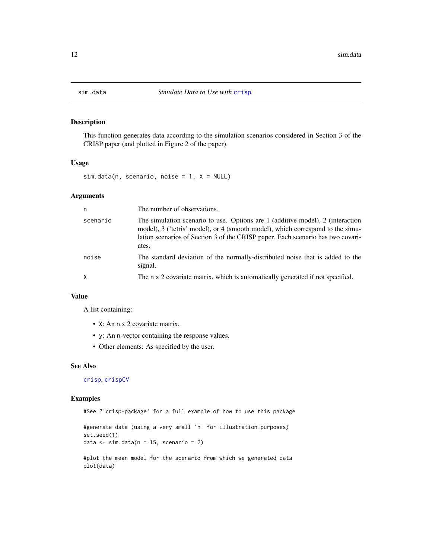<span id="page-11-1"></span><span id="page-11-0"></span>

This function generates data according to the simulation scenarios considered in Section 3 of the CRISP paper (and plotted in Figure 2 of the paper).

## Usage

 $sim.data(n, scenario, noise = 1, X = NULL)$ 

#### Arguments

| n        | The number of observations.                                                                                                                                                                                                                                  |
|----------|--------------------------------------------------------------------------------------------------------------------------------------------------------------------------------------------------------------------------------------------------------------|
| scenario | The simulation scenario to use. Options are 1 (additive model), 2 (interaction<br>model), 3 ('tetris' model), or 4 (smooth model), which correspond to the simu-<br>lation scenarios of Section 3 of the CRISP paper. Each scenario has two covari-<br>ates. |
| noise    | The standard deviation of the normally-distributed noise that is added to the<br>signal.                                                                                                                                                                     |
| X        | The n x 2 covariate matrix, which is automatically generated if not specified.                                                                                                                                                                               |

## Value

A list containing:

- X: An n x 2 covariate matrix.
- y: An n-vector containing the response values.
- Other elements: As specified by the user.

## See Also

[crisp](#page-2-1), [crispCV](#page-4-1)

#### Examples

#See ?'crisp-package' for a full example of how to use this package

#generate data (using a very small 'n' for illustration purposes) set.seed(1) data  $\le$  sim.data(n = 15, scenario = 2)

#plot the mean model for the scenario from which we generated data plot(data)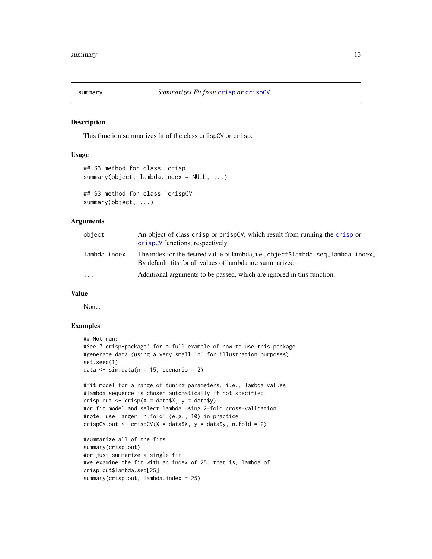<span id="page-12-1"></span><span id="page-12-0"></span>

This function summarizes fit of the class crispCV or crisp.

## Usage

```
## S3 method for class 'crisp'
summary(object, lambda.index = NULL, ...)
## S3 method for class 'crispCV'
summary(object, ...)
```
## Arguments

| object       | An object of class crisp or crispCV, which result from running the crisp or<br>crispCV functions, respectively.                                 |
|--------------|-------------------------------------------------------------------------------------------------------------------------------------------------|
| lambda.index | The index for the desired value of lambda, i.e., object\$lambda.seq[lambda.index].<br>By default, fits for all values of lambda are summarized. |
| $\cdots$     | Additional arguments to be passed, which are ignored in this function.                                                                          |

## Value

None.

## Examples

```
## Not run:
#See ?'crisp-package' for a full example of how to use this package
#generate data (using a very small 'n' for illustration purposes)
set.seed(1)
data \le sim.data(n = 15, scenario = 2)
#fit model for a range of tuning parameters, i.e., lambda values
#lambda sequence is chosen automatically if not specified
crisp.out \leq crisp(X = data$X, y = data$y)
#or fit model and select lambda using 2-fold cross-validation
#note: use larger 'n.fold' (e.g., 10) in practice
crispCV.out \leq crispCV(X = data$X, y = data$y, n.fold = 2)
#summarize all of the fits
summary(crisp.out)
#or just summarize a single fit
#we examine the fit with an index of 25. that is, lambda of
crisp.out$lambda.seq[25]
summary(crisp.out, lambda.index = 25)
```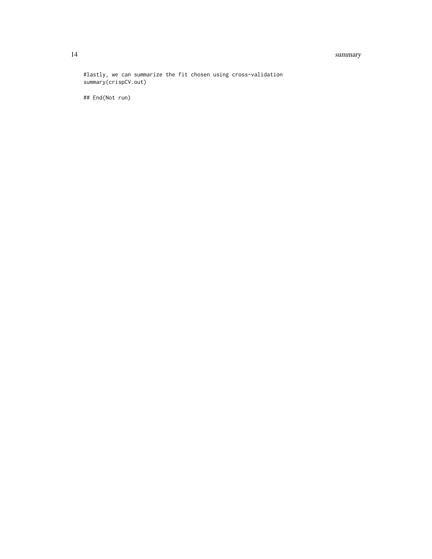#### 14 summary

#lastly, we can summarize the fit chosen using cross-validation summary(crispCV.out)